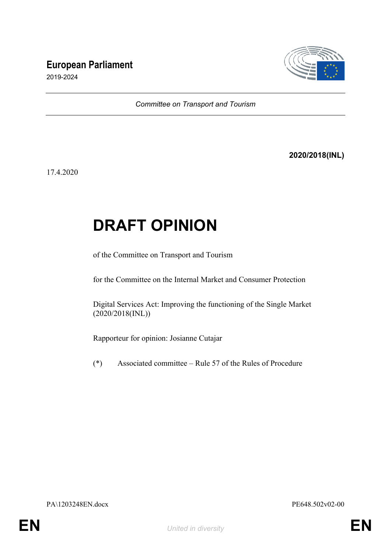## **European Parliament**



2019-2024

*Committee on Transport and Tourism*

**2020/2018(INL)**

17.4.2020

## **DRAFT OPINION**

of the Committee on Transport and Tourism

for the Committee on the Internal Market and Consumer Protection

Digital Services Act: Improving the functioning of the Single Market (2020/2018(INL))

Rapporteur for opinion: Josianne Cutajar

(\*) Associated committee – Rule 57 of the Rules of Procedure

PA\1203248EN.docx PE648.502v02-00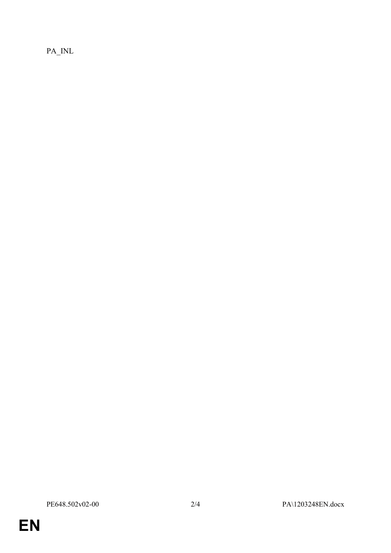$PA$ <sub>INL</sub>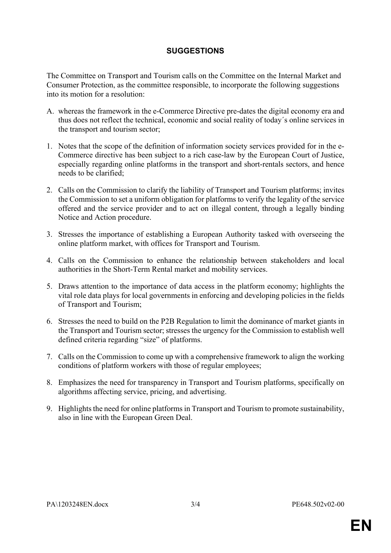## **SUGGESTIONS**

The Committee on Transport and Tourism calls on the Committee on the Internal Market and Consumer Protection, as the committee responsible, to incorporate the following suggestions into its motion for a resolution:

- A. whereas the framework in the e-Commerce Directive pre-dates the digital economy era and thus does not reflect the technical, economic and social reality of today´s online services in the transport and tourism sector;
- 1. Notes that the scope of the definition of information society services provided for in the e-Commerce directive has been subject to a rich case-law by the European Court of Justice, especially regarding online platforms in the transport and short-rentals sectors, and hence needs to be clarified;
- 2. Calls on the Commission to clarify the liability of Transport and Tourism platforms; invites the Commission to set a uniform obligation for platforms to verify the legality of the service offered and the service provider and to act on illegal content, through a legally binding Notice and Action procedure.
- 3. Stresses the importance of establishing a European Authority tasked with overseeing the online platform market, with offices for Transport and Tourism.
- 4. Calls on the Commission to enhance the relationship between stakeholders and local authorities in the Short-Term Rental market and mobility services.
- 5. Draws attention to the importance of data access in the platform economy; highlights the vital role data plays for local governments in enforcing and developing policies in the fields of Transport and Tourism;
- 6. Stresses the need to build on the P2B Regulation to limit the dominance of market giants in the Transport and Tourism sector; stresses the urgency for the Commission to establish well defined criteria regarding "size" of platforms.
- 7. Calls on the Commission to come up with a comprehensive framework to align the working conditions of platform workers with those of regular employees;
- 8. Emphasizes the need for transparency in Transport and Tourism platforms, specifically on algorithms affecting service, pricing, and advertising.
- 9. Highlights the need for online platforms in Transport and Tourism to promote sustainability, also in line with the European Green Deal.